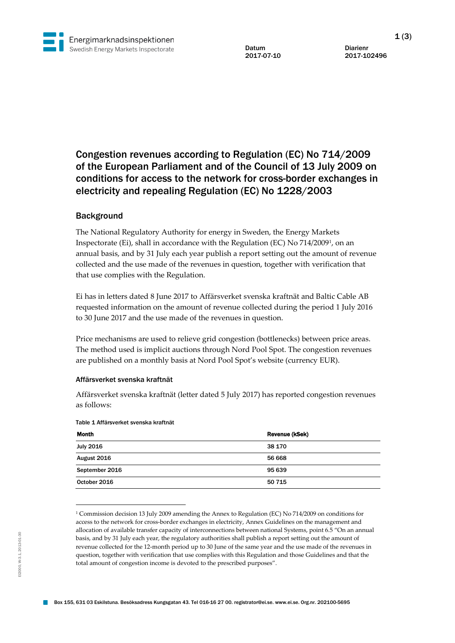

Datum Diarienr<br>
2017-07-10 2017-10

2017-102496

# Congestion revenues according to Regulation (EC) No 714/2009 of the European Parliament and of the Council of 13 July 2009 on conditions for access to the network for cross-border exchanges in electricity and repealing Regulation (EC) No 1228/2003

# **Background**

The National Regulatory Authority for energy in Sweden, the Energy Markets Inspectorate (Ei), shall in accordance with the Regulation (EC) No 714/2009[1,](#page-0-0) on an annual basis, and by 31 July each year publish a report setting out the amount of revenue collected and the use made of the revenues in question, together with verification that that use complies with the Regulation.

Ei has in letters dated 8 June 2017 to Affärsverket svenska kraftnät and Baltic Cable AB requested information on the amount of revenue collected during the period 1 July 2016 to 30 June 2017 and the use made of the revenues in question.

Price mechanisms are used to relieve grid congestion (bottlenecks) between price areas. The method used is implicit auctions through Nord Pool Spot. The congestion revenues are published on a monthly basis at Nord Pool Spot's website (currency EUR).

### Affärsverket svenska kraftnät

Affärsverket svenska kraftnät (letter dated 5 July 2017) has reported congestion revenues as follows:

| Month            | Revenue (kSek) |
|------------------|----------------|
| <b>July 2016</b> | 38 170         |
| August 2016      | 56 668         |
| September 2016   | 95 639         |
| October 2016     | 50 715         |

#### Table 1 Affärsverket svenska kraftnät

 $\overline{a}$ 

<span id="page-0-0"></span><sup>1</sup> Commission decision 13 July 2009 amending the Annex to Regulation (EC) No 714/2009 on conditions for access to the network for cross-border exchanges in electricity, Annex Guidelines on the management and allocation of available transfer capacity of interconnections between national Systems, point 6.5 "On an annual basis, and by 31 July each year, the regulatory authorities shall publish a report setting out the amount of revenue collected for the 12-month period up to 30 June of the same year and the use made of the revenues in question, together with verification that use complies with this Regulation and those Guidelines and that the total amount of congestion income is devoted to the prescribed purposes".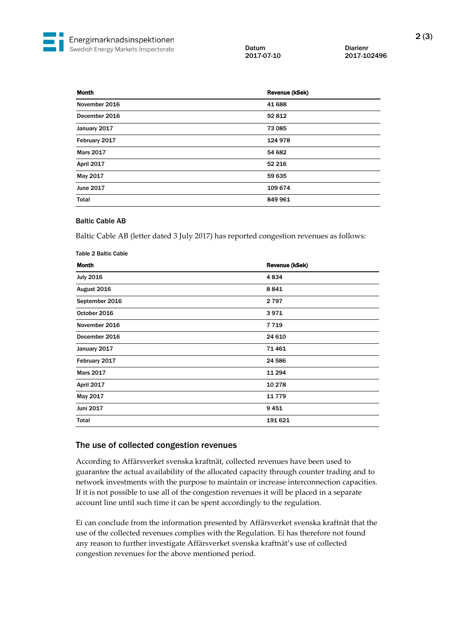Datum Diarienr<br>
2017-07-10 2017-10

2017-102496

| <b>Month</b>      | Revenue (kSek) |
|-------------------|----------------|
| November 2016     | 41 688         |
| December 2016     | 92812          |
| January 2017      | 73 085         |
| February 2017     | 124 978        |
| <b>Mars 2017</b>  | 54 682         |
| <b>April 2017</b> | 52 216         |
| May 2017          | 59 635         |
| June 2017         | 109 674        |
| <b>Total</b>      | 849 961        |

## Baltic Cable AB

Baltic Cable AB (letter dated 3 July 2017) has reported congestion revenues as follows:

| <b>Table 2 Baltic Cable</b> |                |  |
|-----------------------------|----------------|--|
| <b>Month</b>                | Revenue (kSek) |  |
| <b>July 2016</b>            | 4834           |  |
| August 2016                 | 8841           |  |
| September 2016              | 2797           |  |
| October 2016                | 3971           |  |
| November 2016               | 7719           |  |
| December 2016               | 24 610         |  |
| January 2017                | 71461          |  |
| February 2017               | 24 5 86        |  |
| <b>Mars 2017</b>            | 11 294         |  |
| <b>April 2017</b>           | 10 278         |  |
| May 2017                    | 11779          |  |
| Juni 2017                   | 9451           |  |
| <b>Total</b>                | 191 621        |  |

## The use of collected congestion revenues

According to Affärsverket svenska kraftnät, collected revenues have been used to guarantee the actual availability of the allocated capacity through counter trading and to network investments with the purpose to maintain or increase interconnection capacities. If it is not possible to use all of the congestion revenues it will be placed in a separate account line until such time it can be spent accordingly to the regulation.

Ei can conclude from the information presented by Affärsverket svenska kraftnät that the use of the collected revenues complies with the Regulation. Ei has therefore not found any reason to further investigate Affärsverket svenska kraftnät's use of collected congestion revenues for the above mentioned period.